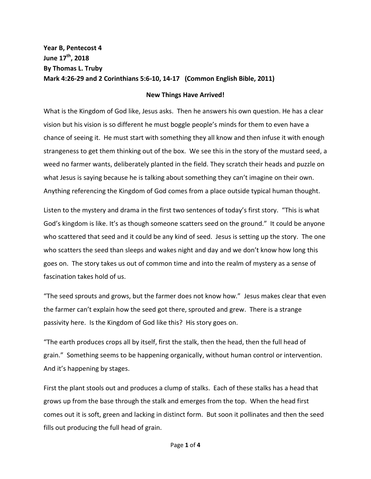**Year B, Pentecost 4 June 17 th, 2018 By Thomas L. Truby Mark 4:26-29 and 2 Corinthians 5:6-10, 14-17 (Common English Bible, 2011)**

## **New Things Have Arrived!**

What is the Kingdom of God like, Jesus asks. Then he answers his own question. He has a clear vision but his vision is so different he must boggle people's minds for them to even have a chance of seeing it. He must start with something they all know and then infuse it with enough strangeness to get them thinking out of the box. We see this in the story of the mustard seed, a weed no farmer wants, deliberately planted in the field. They scratch their heads and puzzle on what Jesus is saying because he is talking about something they can't imagine on their own. Anything referencing the Kingdom of God comes from a place outside typical human thought.

Listen to the mystery and drama in the first two sentences of today's first story. "This is what God's kingdom is like. It's as though someone scatters seed on the ground." It could be anyone who scattered that seed and it could be any kind of seed. Jesus is setting up the story. The one who scatters the seed than sleeps and wakes night and day and we don't know how long this goes on. The story takes us out of common time and into the realm of mystery as a sense of fascination takes hold of us.

"The seed sprouts and grows, but the farmer does not know how." Jesus makes clear that even the farmer can't explain how the seed got there, sprouted and grew. There is a strange passivity here. Is the Kingdom of God like this? His story goes on.

"The earth produces crops all by itself, first the stalk, then the head, then the full head of grain." Something seems to be happening organically, without human control or intervention. And it's happening by stages.

First the plant stools out and produces a clump of stalks. Each of these stalks has a head that grows up from the base through the stalk and emerges from the top. When the head first comes out it is soft, green and lacking in distinct form. But soon it pollinates and then the seed fills out producing the full head of grain.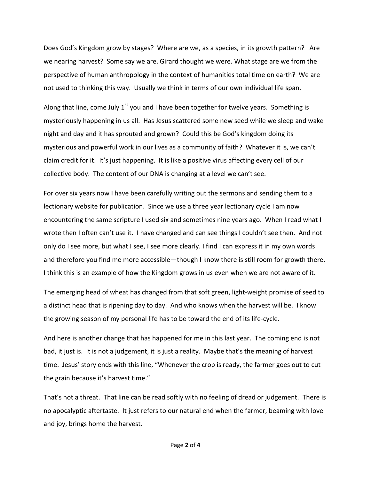Does God's Kingdom grow by stages? Where are we, as a species, in its growth pattern? Are we nearing harvest? Some say we are. Girard thought we were. What stage are we from the perspective of human anthropology in the context of humanities total time on earth? We are not used to thinking this way. Usually we think in terms of our own individual life span.

Along that line, come July  $1<sup>st</sup>$  you and I have been together for twelve years. Something is mysteriously happening in us all. Has Jesus scattered some new seed while we sleep and wake night and day and it has sprouted and grown? Could this be God's kingdom doing its mysterious and powerful work in our lives as a community of faith? Whatever it is, we can't claim credit for it. It's just happening. It is like a positive virus affecting every cell of our collective body. The content of our DNA is changing at a level we can't see.

For over six years now I have been carefully writing out the sermons and sending them to a lectionary website for publication. Since we use a three year lectionary cycle I am now encountering the same scripture I used six and sometimes nine years ago. When I read what I wrote then I often can't use it. I have changed and can see things I couldn't see then. And not only do I see more, but what I see, I see more clearly. I find I can express it in my own words and therefore you find me more accessible—though I know there is still room for growth there. I think this is an example of how the Kingdom grows in us even when we are not aware of it.

The emerging head of wheat has changed from that soft green, light-weight promise of seed to a distinct head that is ripening day to day. And who knows when the harvest will be. I know the growing season of my personal life has to be toward the end of its life-cycle.

And here is another change that has happened for me in this last year. The coming end is not bad, it just is. It is not a judgement, it is just a reality. Maybe that's the meaning of harvest time. Jesus' story ends with this line, "Whenever the crop is ready, the farmer goes out to cut the grain because it's harvest time."

That's not a threat. That line can be read softly with no feeling of dread or judgement. There is no apocalyptic aftertaste. It just refers to our natural end when the farmer, beaming with love and joy, brings home the harvest.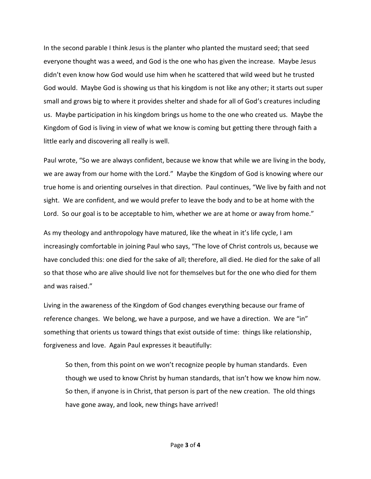In the second parable I think Jesus is the planter who planted the mustard seed; that seed everyone thought was a weed, and God is the one who has given the increase. Maybe Jesus didn't even know how God would use him when he scattered that wild weed but he trusted God would. Maybe God is showing us that his kingdom is not like any other; it starts out super small and grows big to where it provides shelter and shade for all of God's creatures including us. Maybe participation in his kingdom brings us home to the one who created us. Maybe the Kingdom of God is living in view of what we know is coming but getting there through faith a little early and discovering all really is well.

Paul wrote, "So we are always confident, because we know that while we are living in the body, we are away from our home with the Lord." Maybe the Kingdom of God is knowing where our true home is and orienting ourselves in that direction. Paul continues, "We live by faith and not sight. We are confident, and we would prefer to leave the body and to be at home with the Lord. So our goal is to be acceptable to him, whether we are at home or away from home."

As my theology and anthropology have matured, like the wheat in it's life cycle, I am increasingly comfortable in joining Paul who says, "The love of Christ controls us, because we have concluded this: one died for the sake of all; therefore, all died. He died for the sake of all so that those who are alive should live not for themselves but for the one who died for them and was raised."

Living in the awareness of the Kingdom of God changes everything because our frame of reference changes. We belong, we have a purpose, and we have a direction. We are "in" something that orients us toward things that exist outside of time: things like relationship, forgiveness and love. Again Paul expresses it beautifully:

So then, from this point on we won't recognize people by human standards. Even though we used to know Christ by human standards, that isn't how we know him now. So then, if anyone is in Christ, that person is part of the new creation. The old things have gone away, and look, new things have arrived!